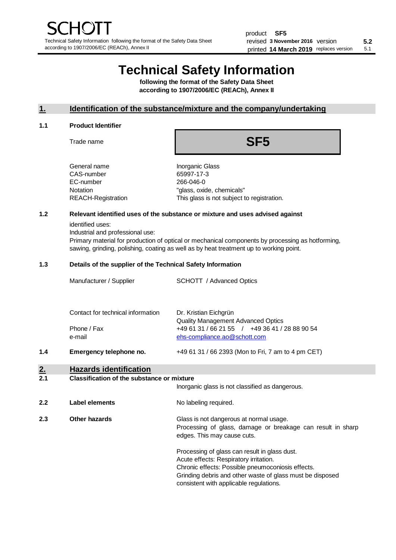# **Technical Safety Information**

**following the format of the Safety Data Sheet according to 1907/2006/EC (REACh), Annex II**

### **1. Identification of the substance/mixture and the company/undertaking**

#### **1.1 Product Identifier**

Trade name

# **SF5**

| General name       |
|--------------------|
| CAS-number         |
| EC-number          |
| Notation           |
| REACH-Registration |
|                    |

**Inorganic Glass** 65997-17-3 266-046-0 "glass, oxide, chemicals" This glass is not subject to registration.

## **1.2 Relevant identified uses of the substance or mixture and uses advised against**

identified uses:

Industrial and professional use:

Primary material for production of optical or mechanical components by processing as hotforming, sawing, grinding, polishing, coating as well as by heat treatment up to working point.

#### **1.3 Details of the supplier of the Technical Safety Information**

|     | Manufacturer / Supplier           | <b>SCHOTT</b> / Advanced Optics                                                |
|-----|-----------------------------------|--------------------------------------------------------------------------------|
|     | Contact for technical information | Dr. Kristian Eichgrün<br><b>Quality Management Advanced Optics</b>             |
|     | Phone / Fax<br>e-mail             | +49 61 31 / 66 21 55 / +49 36 41 / 28 88 90 54<br>ehs-compliance.ao@schott.com |
| 1.4 | Emergency telephone no.           | +49 61 31 / 66 2393 (Mon to Fri, 7 am to 4 pm CET)                             |
| 2.  | <b>Hazards identification</b>     |                                                                                |

# **2.1 Classification of the substance or mixture**

|     |                | Inorganic glass is not classified as dangerous.                                                                                                                                                                                                      |
|-----|----------------|------------------------------------------------------------------------------------------------------------------------------------------------------------------------------------------------------------------------------------------------------|
| 2.2 | Label elements | No labeling required.                                                                                                                                                                                                                                |
| 2.3 | Other hazards  | Glass is not dangerous at normal usage.<br>Processing of glass, damage or breakage can result in sharp<br>edges. This may cause cuts.                                                                                                                |
|     |                | Processing of glass can result in glass dust.<br>Acute effects: Respiratory irritation.<br>Chronic effects: Possible pneumoconiosis effects.<br>Grinding debris and other waste of glass must be disposed<br>consistent with applicable regulations. |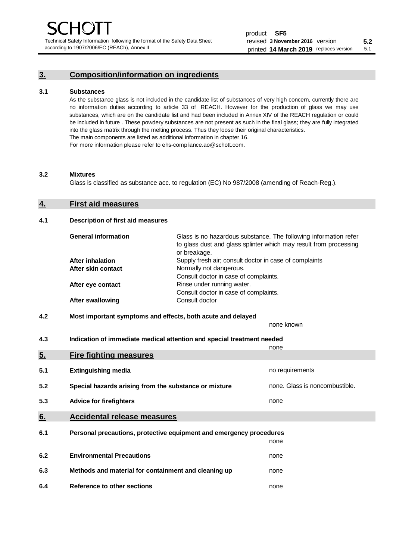Technical Safety Information following the format of the Safety Data Sheet according to 1907/2006/EC (REACh), Annex II

# **3. Composition/information on ingredients**

#### **3.1 Substances**

As the substance glass is not included in the candidate list of substances of very high concern, currently there are no information duties according to article 33 of REACH. However for the production of glass we may use substances, which are on the candidate list and had been included in Annex XIV of the REACH regulation or could be included in future . These powdery substances are not present as such in the final glass; they are fully integrated into the glass matrix through the melting process. Thus they loose their original characteristics. The main components are listed as additional information in chapter 16. For more information please refer to ehs-compliance.ao@schott.com.

#### **3.2 Mixtures**

Glass is classified as substance acc. to regulation (EC) No 987/2008 (amending of Reach-Reg.).

### **4. First aid measures**

#### **4.1 Description of first aid measures**

| <b>General information</b> | Glass is no hazardous substance. The following information refer<br>to glass dust and glass splinter which may result from processing<br>or breakage. |
|----------------------------|-------------------------------------------------------------------------------------------------------------------------------------------------------|
| <b>After inhalation</b>    | Supply fresh air; consult doctor in case of complaints                                                                                                |
| After skin contact         | Normally not dangerous.                                                                                                                               |
|                            | Consult doctor in case of complaints.                                                                                                                 |
| After eye contact          | Rinse under running water.                                                                                                                            |
|                            | Consult doctor in case of complaints.                                                                                                                 |
| <b>After swallowing</b>    | Consult doctor                                                                                                                                        |

## **4.2 Most important symptoms and effects, both acute and delayed**

none known **4.3 Indication of immediate medical attention and special treatment needed** 

|     |                                                                     | none                           |
|-----|---------------------------------------------------------------------|--------------------------------|
| 5.  | <b>Fire fighting measures</b>                                       |                                |
| 5.1 | <b>Extinguishing media</b>                                          | no requirements                |
| 5.2 | Special hazards arising from the substance or mixture               | none. Glass is noncombustible. |
| 5.3 | <b>Advice for firefighters</b>                                      | none                           |
| 6.  | <b>Accidental release measures</b>                                  |                                |
| 6.1 | Personal precautions, protective equipment and emergency procedures |                                |
|     |                                                                     | none                           |
| 6.2 | <b>Environmental Precautions</b>                                    | none                           |
| 6.3 | Methods and material for containment and cleaning up                | none                           |
| 6.4 | Reference to other sections                                         | none                           |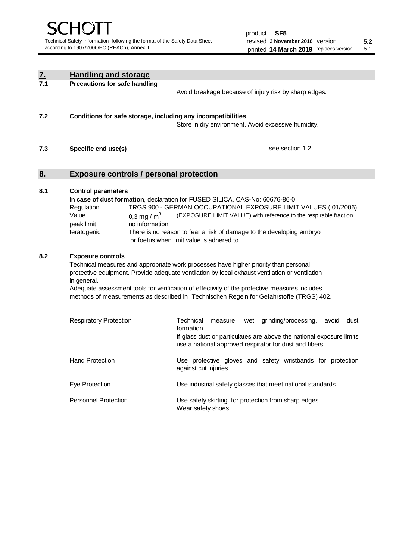| $\underline{\mathbf{7}}$ . | <b>Handling and storage</b>                                                                                                                                                                                                                                                                                                                                                                                                    |                                                                                                                                                                                                                                                                                                                                        |  |  |
|----------------------------|--------------------------------------------------------------------------------------------------------------------------------------------------------------------------------------------------------------------------------------------------------------------------------------------------------------------------------------------------------------------------------------------------------------------------------|----------------------------------------------------------------------------------------------------------------------------------------------------------------------------------------------------------------------------------------------------------------------------------------------------------------------------------------|--|--|
| 7.1                        | <b>Precautions for safe handling</b>                                                                                                                                                                                                                                                                                                                                                                                           | Avoid breakage because of injury risk by sharp edges.                                                                                                                                                                                                                                                                                  |  |  |
| 7.2                        | Conditions for safe storage, including any incompatibilities                                                                                                                                                                                                                                                                                                                                                                   | Store in dry environment. Avoid excessive humidity.                                                                                                                                                                                                                                                                                    |  |  |
| 7.3                        | Specific end use(s)<br>see section 1.2                                                                                                                                                                                                                                                                                                                                                                                         |                                                                                                                                                                                                                                                                                                                                        |  |  |
| <u>8.</u>                  | <b>Exposure controls / personal protection</b>                                                                                                                                                                                                                                                                                                                                                                                 |                                                                                                                                                                                                                                                                                                                                        |  |  |
| 8.1                        | <b>Control parameters</b><br>Regulation<br>Value<br>0.3 mg / $m3$<br>no information<br>peak limit<br>teratogenic                                                                                                                                                                                                                                                                                                               | In case of dust formation, declaration for FUSED SILICA, CAS-No: 60676-86-0<br>TRGS 900 - GERMAN OCCUPATIONAL EXPOSURE LIMIT VALUES (01/2006)<br>(EXPOSURE LIMIT VALUE) with reference to the respirable fraction.<br>There is no reason to fear a risk of damage to the developing embryo<br>or foetus when limit value is adhered to |  |  |
| 8.2                        | <b>Exposure controls</b><br>Technical measures and appropriate work processes have higher priority than personal<br>protective equipment. Provide adequate ventilation by local exhaust ventilation or ventilation<br>in general.<br>Adequate assessment tools for verification of effectivity of the protective measures includes<br>methods of measurements as described in "Technischen Regeln for Gefahrstoffe (TRGS) 402. |                                                                                                                                                                                                                                                                                                                                        |  |  |
|                            | <b>Respiratory Protection</b>                                                                                                                                                                                                                                                                                                                                                                                                  | Technical<br>grinding/processing,<br>avoid<br>dust<br>measure: wet<br>formation.<br>If glass dust or particulates are above the national exposure limits<br>use a national approved respirator for dust and fibers.                                                                                                                    |  |  |
|                            | <b>Hand Protection</b>                                                                                                                                                                                                                                                                                                                                                                                                         | Use protective gloves and safety wristbands for protection<br>against cut injuries.                                                                                                                                                                                                                                                    |  |  |
|                            | Eye Protection                                                                                                                                                                                                                                                                                                                                                                                                                 | Use industrial safety glasses that meet national standards.                                                                                                                                                                                                                                                                            |  |  |
|                            | <b>Personnel Protection</b>                                                                                                                                                                                                                                                                                                                                                                                                    | Use safety skirting for protection from sharp edges.<br>Wear safety shoes.                                                                                                                                                                                                                                                             |  |  |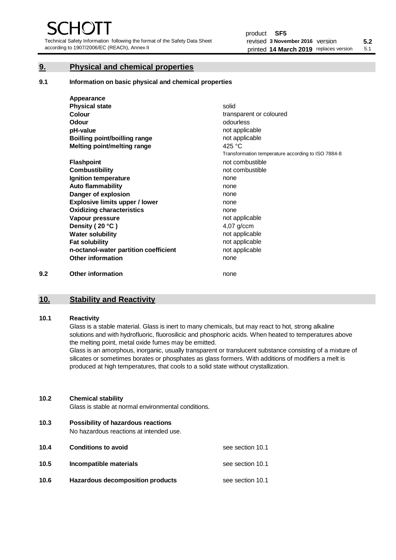Technical Safety Information following the format of the Safety Data Sheet according to 1907/2006/EC (REACh), Annex II

# **9. Physical and chemical properties**

**9.1 Information on basic physical and chemical properties**

|     | Appearance                            |                                                    |
|-----|---------------------------------------|----------------------------------------------------|
|     | <b>Physical state</b>                 | solid                                              |
|     | <b>Colour</b>                         | transparent or coloured                            |
|     | Odour                                 | odourless                                          |
|     | pH-value                              | not applicable                                     |
|     | <b>Boilling point/boilling range</b>  | not applicable                                     |
|     | Melting point/melting range           | 425 $°C$                                           |
|     |                                       | Transformation temperature according to ISO 7884-8 |
|     | <b>Flashpoint</b>                     | not combustible                                    |
|     | <b>Combustibility</b>                 | not combustible                                    |
|     | Ignition temperature                  | none                                               |
|     | <b>Auto flammability</b>              | none                                               |
|     | Danger of explosion                   | none                                               |
|     | <b>Explosive limits upper / lower</b> | none                                               |
|     | <b>Oxidizing characteristics</b>      | none                                               |
|     | Vapour pressure                       | not applicable                                     |
|     | Density (20 °C)                       | 4,07 g/ccm                                         |
|     | <b>Water solubility</b>               | not applicable                                     |
|     | <b>Fat solubility</b>                 | not applicable                                     |
|     | n-octanol-water partition coefficient | not applicable                                     |
|     | <b>Other information</b>              | none                                               |
| 9.2 | <b>Other information</b>              | none                                               |

# **10. Stability and Reactivity**

#### **10.1 Reactivity**

Glass is a stable material. Glass is inert to many chemicals, but may react to hot, strong alkaline solutions and with hydrofluoric, fluorosilicic and phosphoric acids. When heated to temperatures above the melting point, metal oxide fumes may be emitted.

Glass is an amorphous, inorganic, usually transparent or translucent substance consisting of a mixture of silicates or sometimes borates or phosphates as glass formers. With additions of modifiers a melt is produced at high temperatures, that cools to a solid state without crystallization.

#### **10.2 Chemical stability**

Glass is stable at normal environmental conditions.

**10.3 Possibility of hazardous reactions** 

No hazardous reactions at intended use.

| 10.4 | <b>Conditions to avoid</b>       | see section 10.1 |
|------|----------------------------------|------------------|
| 10.5 | Incompatible materials           | see section 10.1 |
| 10.6 | Hazardous decomposition products | see section 10.1 |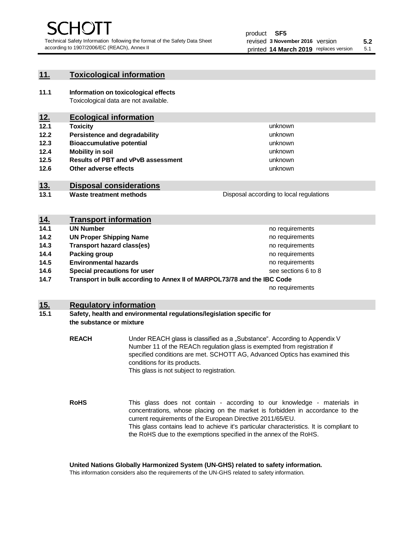unknown unknown unknown

unknown unknown unknown

Disposal according to local regulations

## **11. Toxicological information**

**11.1 Information on toxicological effects** Toxicological data are not available.

# **12. Ecological information**

- **12.1 Toxicity**
- **12.2 Persistence and degradability**
- **12.3 Bioaccumulative potential**
- **12.4 Mobility in soil**
- **12.5 Results of PBT and vPvB assessment**
- **12.6 Other adverse effects**

# **13. Disposal considerations**

**13.1 Waste treatment methods**

| <u>14.</u> | <b>Transport information</b>                                            |                     |
|------------|-------------------------------------------------------------------------|---------------------|
| 14.1       | <b>UN Number</b>                                                        | no requirements     |
| 14.2       | <b>UN Proper Shipping Name</b>                                          | no requirements     |
| 14.3       | <b>Transport hazard class(es)</b>                                       | no requirements     |
| 14.4       | Packing group                                                           | no requirements     |
| 14.5       | <b>Environmental hazards</b>                                            | no requirements     |
| 14.6       | Special precautions for user                                            | see sections 6 to 8 |
| 14.7       | Transport in bulk according to Annex II of MARPOL73/78 and the IBC Code |                     |
|            |                                                                         | no requirements     |

## **15. Regulatory information**

#### **15.1 Safety, health and environmental regulations/legislation specific for the substance or mixture**

**REACH** Under REACH glass is classified as a "Substance". According to Appendix V Number 11 of the REACh regulation glass is exempted from registration if specified conditions are met. SCHOTT AG, Advanced Optics has examined this conditions for its products. This glass is not subject to registration.

**RoHS** This glass does not contain - according to our knowledge - materials in concentrations, whose placing on the market is forbidden in accordance to the current requirements of the European Directive 2011/65/EU. This glass contains lead to achieve it's particular characteristics. It is compliant to the RoHS due to the exemptions specified in the annex of the RoHS.

**United Nations Globally Harmonized System (UN-GHS) related to safety information.**

This information considers also the requirements of the UN-GHS related to safety information.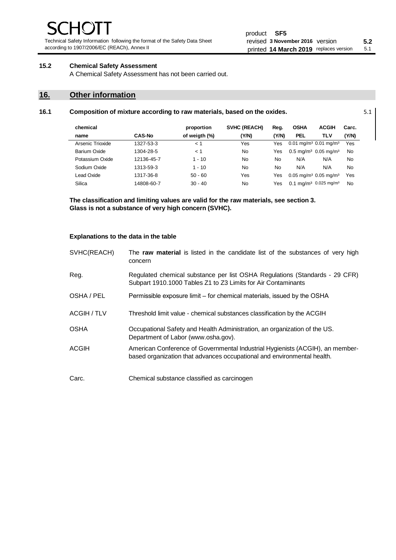Technical Safety Information following the format of the Safety Data Sheet according to 1907/2006/EC (REACh), Annex II

# **15.2 Chemical Safety Assessment**

A Chemical Safety Assessment has not been carried out.

# **16. Other information**

| 16.1 | Composition of mixture according to raw materials, based on the oxides. | 5.1 |
|------|-------------------------------------------------------------------------|-----|
|      |                                                                         |     |

| chemical         |               | proportion    | SVHC (REACH) | Reg.  | <b>OSHA</b>                                     | <b>ACGIH</b>                                  | Carc. |
|------------------|---------------|---------------|--------------|-------|-------------------------------------------------|-----------------------------------------------|-------|
| name             | <b>CAS-No</b> | of weigth (%) | (Y/N)        | (Y/N) | <b>PEL</b>                                      | <b>TLV</b>                                    | (Y/N) |
| Arsenic Trioxide | 1327-53-3     | < 1           | Yes          | Yes   | $0.01$ mg/m <sup>3</sup> 0.01 mg/m <sup>3</sup> |                                               | Yes   |
| Barium Oxide     | 1304-28-5     | < 1           | No           | Yes   |                                                 | $0.5 \text{ mg/m}^3$ 0.05 mg/m <sup>3</sup>   | No    |
| Potassium Oxide  | 12136-45-7    | $1 - 10$      | No           | No    | N/A                                             | N/A                                           | No    |
| Sodium Oxide     | 1313-59-3     | $1 - 10$      | No           | No    | N/A                                             | N/A                                           | No    |
| Lead Oxide       | 1317-36-8     | $50 - 60$     | Yes          | Yes   | $0.05$ mg/m <sup>3</sup> 0.05 mg/m <sup>3</sup> |                                               | Yes   |
| Silica           | 14808-60-7    | $30 - 40$     | No           | Yes   |                                                 | 0.1 mg/m <sup>3</sup> 0.025 mg/m <sup>3</sup> | No    |

**The classification and limiting values are valid for the raw materials, see section 3. Glass is not a substance of very high concern (SVHC).**

#### **Explanations to the data in the table**

| SVHC(REACH)  | The raw material is listed in the candidate list of the substances of very high<br>concern                                                               |
|--------------|----------------------------------------------------------------------------------------------------------------------------------------------------------|
| Reg.         | Regulated chemical substance per list OSHA Regulations (Standards - 29 CFR)<br>Subpart 1910.1000 Tables Z1 to Z3 Limits for Air Contaminants             |
| OSHA / PEL   | Permissible exposure limit - for chemical materials, issued by the OSHA                                                                                  |
| ACGIH / TLV  | Threshold limit value - chemical substances classification by the ACGIH                                                                                  |
| <b>OSHA</b>  | Occupational Safety and Health Administration, an organization of the US.<br>Department of Labor (www.osha.gov).                                         |
| <b>ACGIH</b> | American Conference of Governmental Industrial Hygienists (ACGIH), an member-<br>based organization that advances occupational and environmental health. |
| Carc.        | Chemical substance classified as carcinogen                                                                                                              |